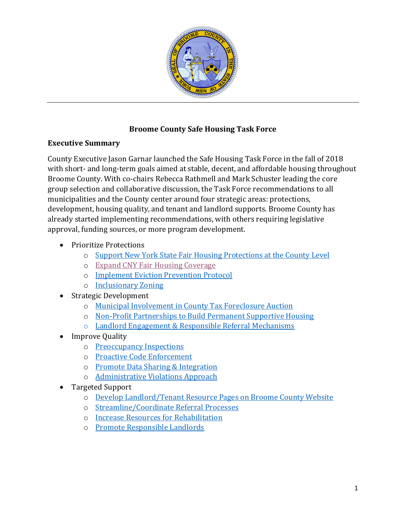

## **Broome County Safe Housing Task Force**

#### **Executive Summary**

County Executive Jason Garnar launched the Safe Housing Task Force in the fall of 2018 with short- and long-term goals aimed at stable, decent, and affordable housing throughout Broome County. With co-chairs Rebecca Rathmell and Mark Schuster leading the core group selection and collaborative discussion, the Task Force recommendations to all municipalities and the County center around four strategic areas: protections, development, housing quality, and tenant and landlord supports. Broome County has already started implementing recommendations, with others requiring legislative approval, funding sources, or more program development.

- Prioritize Protections
	- o [Support New York State Fair Housing Protections at the County Level](#page-2-0)
	- o [Expand CNY Fair Housing Coverage](#page-3-0)
	- o [Implement Eviction Prevention Protocol](#page-3-1)
	- o [Inclusionary Zoning](#page-4-0)
- Strategic Development
	- o [Municipal Involvement in County Tax Foreclosure Auction](#page-5-0)
	- o [Non-Profit Partnerships to Build Permanent Supportive Housing](#page-6-0)
	- o Landlord Engagement [& Responsible Referral Mechanisms](#page-6-1)
- Improve Quality
	- o [Preoccupancy Inspections](#page-7-0)
	- o [Proactive Code Enforcement](#page-8-0)
	- o [Promote Data Sharing & Integration](#page-8-1)
	- o [Administrative Violations Approach](#page-9-0)
- Targeted Support
	- o [Develop Landlord/Tenant Resource Pages on Broome County Website](#page-10-0)
	- o [Streamline/Coordinate Referral Processes](#page-10-1)
	- o [Increase Resources for Rehabilitation](#page-10-2)
	- o [Promote Responsible Landlords](#page-10-3)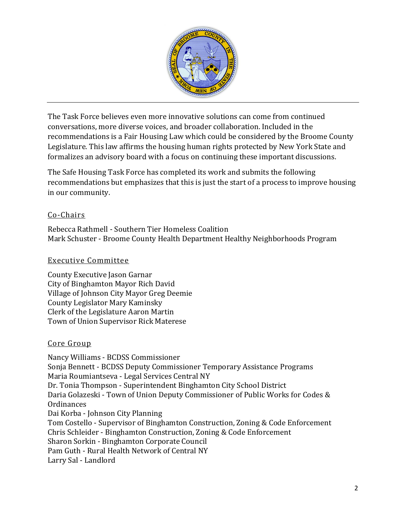

The Task Force believes even more innovative solutions can come from continued conversations, more diverse voices, and broader collaboration. Included in the recommendations is a Fair Housing Law which could be considered by the Broome County Legislature. This law affirms the housing human rights protected by New York State and formalizes an advisory board with a focus on continuing these important discussions.

The Safe Housing Task Force has completed its work and submits the following recommendations but emphasizes that this is just the start of a process to improve housing in our community.

#### Co-Chairs

Rebecca Rathmell - Southern Tier Homeless Coalition Mark Schuster - Broome County Health Department Healthy Neighborhoods Program

#### Executive Committee

County Executive Jason Garnar City of Binghamton Mayor Rich David Village of Johnson City Mayor Greg Deemie County Legislator Mary Kaminsky Clerk of the Legislature Aaron Martin Town of Union Supervisor Rick Materese

#### Core Group

Nancy Williams - BCDSS Commissioner Sonja Bennett - BCDSS Deputy Commissioner Temporary Assistance Programs Maria Roumiantseva - Legal Services Central NY Dr. Tonia Thompson - Superintendent Binghamton City School District Daria Golazeski - Town of Union Deputy Commissioner of Public Works for Codes & **Ordinances** Dai Korba - Johnson City Planning Tom Costello - Supervisor of Binghamton Construction, Zoning & Code Enforcement Chris Schleider - Binghamton Construction, Zoning & Code Enforcement Sharon Sorkin - Binghamton Corporate Council Pam Guth - Rural Health Network of Central NY Larry Sal - Landlord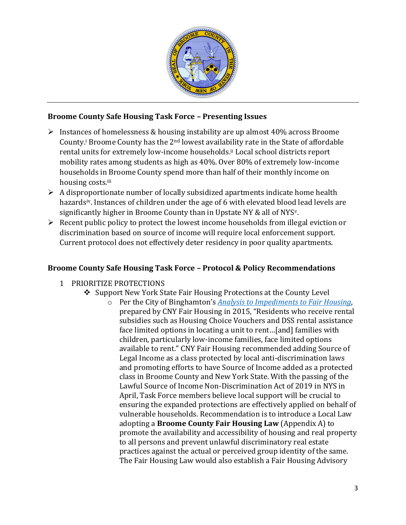

#### **Broome County Safe Housing Task Force – Presenting Issues**

- $\triangleright$  Instances of homelessness & housing instability are up almost 40% across Broome County.<sup>i</sup> Broome County has the 2<sup>nd</sup> lowest availability rate in the State of affordable rental units for extremely low-income households.<sup>ii</sup> Local school districts report mobility rates among students as high as 40%. Over 80% of extremely low-income households in Broome County spend more than half of their monthly income on housing costs.iii
- $\triangleright$  A disproportionate number of locally subsidized apartments indicate home health hazards<sup>iv</sup>. Instances of children under the age of 6 with elevated blood lead levels are significantly higher in Broome County than in Upstate NY & all of NYS<sup>v</sup>.
- $\triangleright$  Recent public policy to protect the lowest income households from illegal eviction or discrimination based on source of income will require local enforcement support. Current protocol does not effectively deter residency in poor quality apartments.

## **Broome County Safe Housing Task Force – Protocol & Policy Recommendations**

- <span id="page-2-0"></span>1 PRIORITIZE PROTECTIONS
	- ❖ Support New York State Fair Housing Protections at the County Level
		- o Per the City of Binghamton's *[Analysis to Impediments to Fair Housing](http://www.binghamton-ny.gov/sites/default/files/documents/files/FairHousingFinal.pdf)*, prepared by CNY Fair Housing in 2015, "Residents who receive rental subsidies such as Housing Choice Vouchers and DSS rental assistance face limited options in locating a unit to rent…[and] families with children, particularly low-income families, face limited options available to rent." CNY Fair Housing recommended adding Source of Legal Income as a class protected by local anti-discrimination laws and promoting efforts to have Source of Income added as a protected class in Broome County and New York State. With the passing of the Lawful Source of Income Non-Discrimination Act of 2019 in NYS in April, Task Force members believe local support will be crucial to ensuring the expanded protections are effectively applied on behalf of vulnerable households. Recommendation is to introduce a Local Law adopting a **Broome County Fair Housing Law** (Appendix A) to promote the availability and accessibility of housing and real property to all persons and prevent unlawful discriminatory real estate practices against the actual or perceived group identity of the same. The Fair Housing Law would also establish a Fair Housing Advisory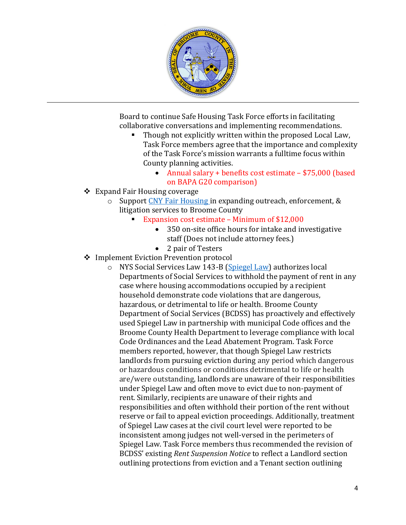

Board to continue Safe Housing Task Force efforts in facilitating collaborative conversations and implementing recommendations.

- Though not explicitly written within the proposed Local Law, Task Force members agree that the importance and complexity of the Task Force's mission warrants a fulltime focus within County planning activities.
	- Annual salary + benefits cost estimate \$75,000 (based on BAPA G20 comparison)
- <span id="page-3-0"></span>❖ Expand Fair Housing coverage
	- o Support [CNY Fair Housing](http://cnyfairhousing.org/) in expanding outreach, enforcement, & litigation services to Broome County
		- Expansion cost estimate Minimum of \$12,000
			- 350 on-site office hours for intake and investigative staff (Does not include attorney fees.)
			- 2 pair of Testers
- <span id="page-3-1"></span>❖ Implement Eviction Prevention protocol
	- o NYS Social Services Law 143-B [\(Spiegel Law\)](https://www.lawserver.com/law/state/new-york/ny-laws/ny_social_services_law_143-b) authorizes local Departments of Social Services to withhold the payment of rent in any case where housing accommodations occupied by a recipient household demonstrate code violations that are dangerous, hazardous, or detrimental to life or health. Broome County Department of Social Services (BCDSS) has proactively and effectively used Spiegel Law in partnership with municipal Code offices and the Broome County Health Department to leverage compliance with local Code Ordinances and the Lead Abatement Program. Task Force members reported, however, that though Spiegel Law restricts landlords from pursuing eviction during any period which dangerous or hazardous conditions or conditions detrimental to life or health are/were outstanding, landlords are unaware of their responsibilities under Spiegel Law and often move to evict due to non-payment of rent. Similarly, recipients are unaware of their rights and responsibilities and often withhold their portion of the rent without reserve or fail to appeal eviction proceedings. Additionally, treatment of Spiegel Law cases at the civil court level were reported to be inconsistent among judges not well-versed in the perimeters of Spiegel Law. Task Force members thus recommended the revision of BCDSS' existing *Rent Suspension Notice* to reflect a Landlord section outlining protections from eviction and a Tenant section outlining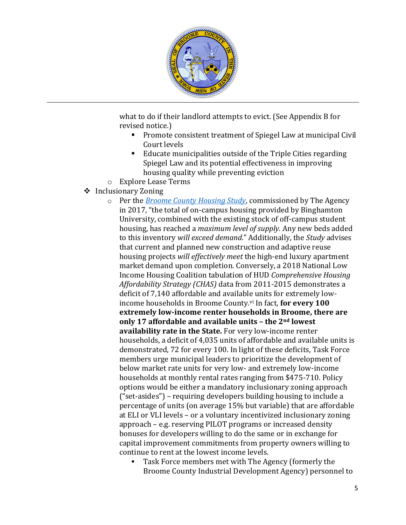

what to do if their landlord attempts to evict. (See Appendix B for revised notice.)

- Promote consistent treatment of Spiegel Law at municipal Civil Court levels
- Educate municipalities outside of the Triple Cities regarding Spiegel Law and its potential effectiveness in improving housing quality while preventing eviction
- o Explore Lease Terms

## <span id="page-4-0"></span>❖ Inclusionary Zoning

- o Per the *[Broome County Housing Study](http://www.greaterbinghamtonmls.com/sites/greaterbinghamtonmls.com/files/broome_county_housing_study_final_2017.pdf)*, commissioned by The Agency in 2017, "the total of on-campus housing provided by Binghamton University, combined with the existing stock of off-campus student housing, has reached a *maximum level of supply.* Any new beds added to this inventory *will exceed demand.*" Additionally, the *Study* advises that current and planned new construction and adaptive reuse housing projects *will effectively meet* the high-end luxury apartment market demand upon completion. Conversely, a 2018 National Low Income Housing Coalition tabulation of HUD *Comprehensive Housing Affordability Strategy (CHAS)* data from 2011-2015 demonstrates a deficit of 7,140 affordable and available units for extremely lowincome households in Broome County.<sup>vi</sup> In fact, **for every 100 extremely low-income renter households in Broome, there are only 17 affordable and available units – the 2nd lowest availability rate in the State.** For very low-income renter households, a deficit of 4,035 units of affordable and available units is demonstrated, 72 for every 100. In light of these deficits, Task Force members urge municipal leaders to prioritize the development of below market rate units for very low- and extremely low-income households at monthly rental rates ranging from \$475-710. Policy options would be either a mandatory inclusionary zoning approach ("set-asides") – requiring developers building housing to include a percentage of units (on average 15% but variable) that are affordable at ELI or VLI levels – or a voluntary incentivized inclusionary zoning approach – e.g. reserving PILOT programs or increased density bonuses for developers willing to do the same or in exchange for capital improvement commitments from property owners willing to continue to rent at the lowest income levels.
	- Task Force members met with The Agency (formerly the Broome County Industrial Development Agency) personnel to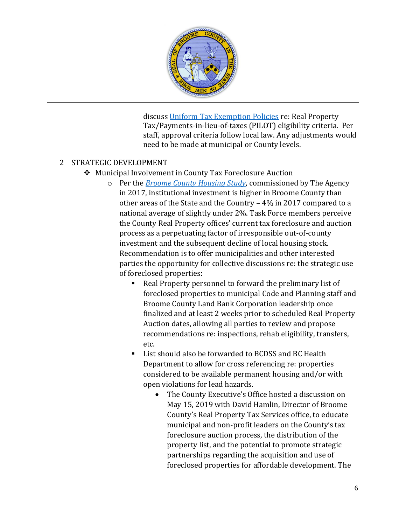

discuss [Uniform Tax Exemption Policies](https://theagency-ny.com/manage/storage/uploads/00000000090.pdf) re: Real Property Tax/Payments-in-lieu-of-taxes (PILOT) eligibility criteria. Per staff, approval criteria follow local law. Any adjustments would need to be made at municipal or County levels.

#### <span id="page-5-0"></span>2 STRATEGIC DEVELOPMENT

- ❖ Municipal Involvement in County Tax Foreclosure Auction
	- o Per the *[Broome County Housing Study](http://www.greaterbinghamtonmls.com/sites/greaterbinghamtonmls.com/files/broome_county_housing_study_final_2017.pdf)*, commissioned by The Agency in 2017, institutional investment is higher in Broome County than other areas of the State and the Country – 4% in 2017 compared to a national average of slightly under 2%. Task Force members perceive the County Real Property offices' current tax foreclosure and auction process as a perpetuating factor of irresponsible out-of-county investment and the subsequent decline of local housing stock. Recommendation is to offer municipalities and other interested parties the opportunity for collective discussions re: the strategic use of foreclosed properties:
		- Real Property personnel to forward the preliminary list of foreclosed properties to municipal Code and Planning staff and Broome County Land Bank Corporation leadership once finalized and at least 2 weeks prior to scheduled Real Property Auction dates, allowing all parties to review and propose recommendations re: inspections, rehab eligibility, transfers, etc.
		- List should also be forwarded to BCDSS and BC Health Department to allow for cross referencing re: properties considered to be available permanent housing and/or with open violations for lead hazards.
			- The County Executive's Office hosted a discussion on May 15, 2019 with David Hamlin, Director of Broome County's Real Property Tax Services office, to educate municipal and non-profit leaders on the County's tax foreclosure auction process, the distribution of the property list, and the potential to promote strategic partnerships regarding the acquisition and use of foreclosed properties for affordable development. The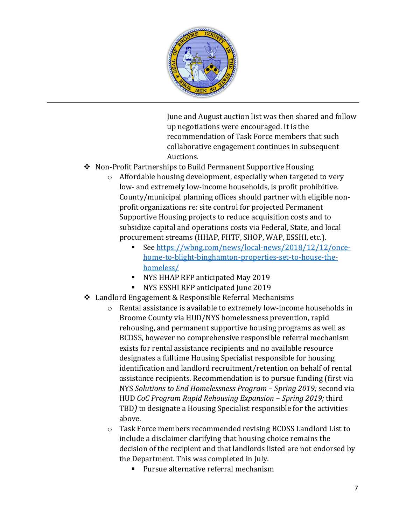

June and August auction list was then shared and follow up negotiations were encouraged. It is the recommendation of Task Force members that such collaborative engagement continues in subsequent Auctions.

- <span id="page-6-0"></span>❖ Non-Profit Partnerships to Build Permanent Supportive Housing
	- o Affordable housing development, especially when targeted to very low- and extremely low-income households, is profit prohibitive. County/municipal planning offices should partner with eligible nonprofit organizations re: site control for projected Permanent Supportive Housing projects to reduce acquisition costs and to subsidize capital and operations costs via Federal, State, and local procurement streams (HHAP, FHTF, SHOP, WAP, ESSHI, etc.).
		- See [https://wbng.com/news/local-news/2018/12/12/once](https://wbng.com/news/local-news/2018/12/12/once-home-to-blight-binghamton-properties-set-to-house-the-homeless/)[home-to-blight-binghamton-properties-set-to-house-the](https://wbng.com/news/local-news/2018/12/12/once-home-to-blight-binghamton-properties-set-to-house-the-homeless/)[homeless/](https://wbng.com/news/local-news/2018/12/12/once-home-to-blight-binghamton-properties-set-to-house-the-homeless/)
		- NYS HHAP RFP anticipated May 2019
		- NYS ESSHI RFP anticipated June 2019
- <span id="page-6-1"></span>❖ Landlord Engagement & Responsible Referral Mechanisms
	- o Rental assistance is available to extremely low-income households in Broome County via HUD/NYS homelessness prevention, rapid rehousing, and permanent supportive housing programs as well as BCDSS, however no comprehensive responsible referral mechanism exists for rental assistance recipients and no available resource designates a fulltime Housing Specialist responsible for housing identification and landlord recruitment/retention on behalf of rental assistance recipients. Recommendation is to pursue funding (first via NYS *Solutions to End Homelessness Program – Spring 2019;* second via HUD *CoC Program Rapid Rehousing Expansion – Spring 2019;* third TBD*)* to designate a Housing Specialist responsible for the activities above.
	- o Task Force members recommended revising BCDSS Landlord List to include a disclaimer clarifying that housing choice remains the decision of the recipient and that landlords listed are not endorsed by the Department. This was completed in July.
		- Pursue alternative referral mechanism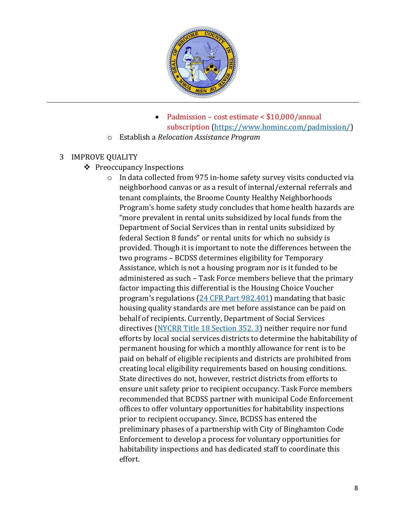

- Padmission cost estimate < \$10,000/annual subscription [\(https://www.hominc.com/padmission/\)](https://www.hominc.com/padmission/)
- o Establish a *Relocation Assistance Program*

#### <span id="page-7-0"></span>3 IMPROVE QUALITY

- ❖ Preoccupancy Inspections
	- o In data collected from 975 in-home safety survey visits conducted via neighborhood canvas or as a result of internal/external referrals and tenant complaints, the Broome County Healthy Neighborhoods Program's home safety study concludes that home health hazards are "more prevalent in rental units subsidized by local funds from the Department of Social Services than in rental units subsidized by federal Section 8 funds" or rental units for which no subsidy is provided. Though it is important to note the differences between the two programs – BCDSS determines eligibility for Temporary Assistance, which is not a housing program nor is it funded to be administered as such – Task Force members believe that the primary factor impacting this differential is the Housing Choice Voucher program's regulations [\(24 CFR Part 982.401\)](https://www.law.cornell.edu/cfr/text/24/982.401) mandating that basic housing quality standards are met before assistance can be paid on behalf of recipients. Currently, Department of Social Services directives [\(NYCRR Title 18](https://govt.westlaw.com/nycrr/Document/I50c3bd42cd1711dda432a117e6e0f345?viewType=FullText&originationContext=documenttoc&transitionType=CategoryPageItem&contextData=(sc.Default)) Section 352. 3) neither require nor fund efforts by local social services districts to determine the habitability of permanent housing for which a monthly allowance for rent is to be paid on behalf of eligible recipients and districts are prohibited from creating local eligibility requirements based on housing conditions. State directives do not, however, restrict districts from efforts to ensure unit safety prior to recipient occupancy. Task Force members recommended that BCDSS partner with municipal Code Enforcement offices to offer voluntary opportunities for habitability inspections prior to recipient occupancy. Since, BCDSS has entered the preliminary phases of a partnership with City of Binghamton Code Enforcement to develop a process for voluntary opportunities for habitability inspections and has dedicated staff to coordinate this effort.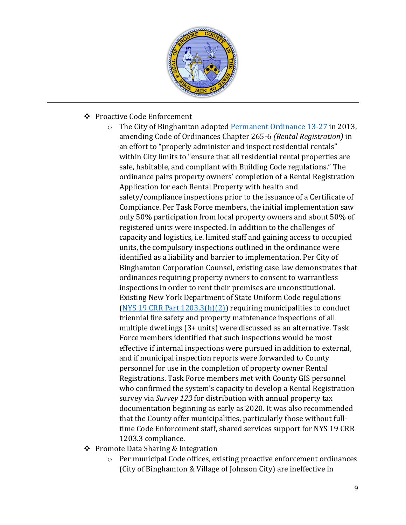

- <span id="page-8-0"></span>❖ Proactive Code Enforcement
	- o The City of Binghamton adopted [Permanent Ordinance 13-27](http://www.binghamton-ny.gov/rental-registration) in 2013, amending Code of Ordinances Chapter 265-6 *(Rental Registration)* in an effort to "properly administer and inspect residential rentals" within City limits to "ensure that all residential rental properties are safe, habitable, and compliant with Building Code regulations." The ordinance pairs property owners' completion of a Rental Registration Application for each Rental Property with health and safety/compliance inspections prior to the issuance of a Certificate of Compliance. Per Task Force members, the initial implementation saw only 50% participation from local property owners and about 50% of registered units were inspected. In addition to the challenges of capacity and logistics, i.e. limited staff and gaining access to occupied units, the compulsory inspections outlined in the ordinance were identified as a liability and barrier to implementation. Per City of Binghamton Corporation Counsel, existing case law demonstrates that ordinances requiring property owners to consent to warrantless inspections in order to rent their premises are unconstitutional. Existing New York Department of State Uniform Code regulations [\(NYS 19 CRR Part 1203.3\(h\)\(2\)\)](https://www.dos.ny.gov/DCEA/pdf/Part1203.pdf) requiring municipalities to conduct triennial fire safety and property maintenance inspections of all multiple dwellings (3+ units) were discussed as an alternative. Task Force members identified that such inspections would be most effective if internal inspections were pursued in addition to external, and if municipal inspection reports were forwarded to County personnel for use in the completion of property owner Rental Registrations. Task Force members met with County GIS personnel who confirmed the system's capacity to develop a Rental Registration survey via *Survey 123* for distribution with annual property tax documentation beginning as early as 2020. It was also recommended that the County offer municipalities, particularly those without fulltime Code Enforcement staff, shared services support for NYS 19 CRR 1203.3 compliance.
- <span id="page-8-1"></span>❖ Promote Data Sharing & Integration
	- o Per municipal Code offices, existing proactive enforcement ordinances (City of Binghamton & Village of Johnson City) are ineffective in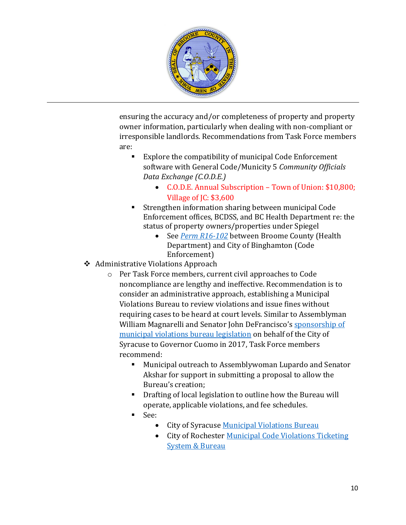

ensuring the accuracy and/or completeness of property and property owner information, particularly when dealing with non-compliant or irresponsible landlords. Recommendations from Task Force members are:

- Explore the compatibility of municipal Code Enforcement software with General Code/Municity 5 *Community Officials Data Exchange (C.O.D.E.)*
	- C.O.D.E. Annual Subscription Town of Union: \$10,800; Village of JC: \$3,600
- Strengthen information sharing between municipal Code Enforcement offices, BCDSS, and BC Health Department re: the status of property owners/properties under Spiegel
	- See *[Perm R16-102](http://www.binghamton-ny.gov/sites/default/files/meetings/Perm%20R16-102%20Resolution%20authorizing%20a%20MOU%20with%20Broome%20County%20for%20information%20sharing%20related%20to%20the%20Broome%20County%20Health%20Department%27s%20Lead%20Poisoning%20Prevention%20Program.pdf)* between Broome County (Health Department) and City of Binghamton (Code Enforcement)
- <span id="page-9-0"></span>❖ Administrative Violations Approach
	- o Per Task Force members, current civil approaches to Code noncompliance are lengthy and ineffective. Recommendation is to consider an administrative approach, establishing a Municipal Violations Bureau to review violations and issue fines without requiring cases to be heard at court levels. Similar to Assemblyman William Magnarelli and Senator John DeFrancisco's sponsorship of [municipal violations bureau legislation](https://www.syracuse.com/news/2017/07/with_cuomos_ok_syracuse_now_has_a_new_way_to_fight_urban_blight.html) on behalf of the City of Syracuse to Governor Cuomo in 2017, Task Force members recommend:
		- Municipal outreach to Assemblywoman Lupardo and Senator Akshar for support in submitting a proposal to allow the Bureau's creation;
		- Drafting of local legislation to outline how the Bureau will operate, applicable violations, and fee schedules.
		- See:
			- City of Syracuse [Municipal Violations Bureau](https://www.syracuse.com/news/2017/07/with_cuomos_ok_syracuse_now_has_a_new_way_to_fight_urban_blight.html)
			- City of Rochester [Municipal Code Violations Ticketing](http://www.cityofrochester.gov/parking/violations/)  [System & Bureau](http://www.cityofrochester.gov/parking/violations/)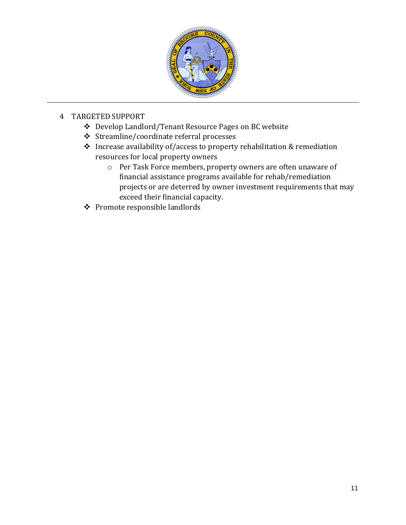

## <span id="page-10-2"></span><span id="page-10-1"></span><span id="page-10-0"></span>4 TARGETED SUPPORT

- ❖ Develop Landlord/Tenant Resource Pages on BC website
- ❖ Streamline/coordinate referral processes
- ❖ Increase availability of/access to property rehabilitation & remediation resources for local property owners
	- o Per Task Force members, property owners are often unaware of financial assistance programs available for rehab/remediation projects or are deterred by owner investment requirements that may exceed their financial capacity.
- <span id="page-10-3"></span>❖ Promote responsible landlords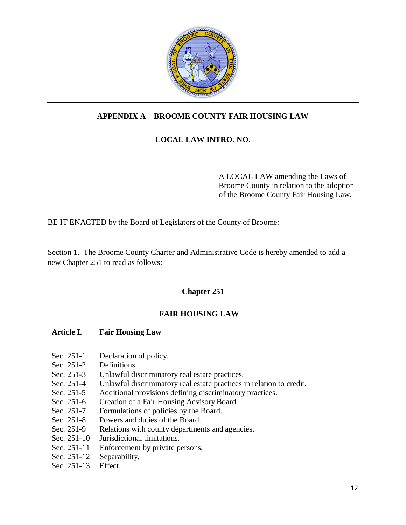

## **APPENDIX A – BROOME COUNTY FAIR HOUSING LAW**

#### **LOCAL LAW INTRO. NO.**

A LOCAL LAW amending the Laws of Broome County in relation to the adoption of the Broome County Fair Housing Law.

BE IT ENACTED by the Board of Legislators of the County of Broome:

Section 1. The Broome County Charter and Administrative Code is hereby amended to add a new Chapter 251 to read as follows:

#### **Chapter 251**

#### **FAIR HOUSING LAW**

#### **Article I. Fair Housing Law**

- Sec. 251-1 Declaration of policy.
- Sec. 251-2 Definitions.
- Sec. 251-3 Unlawful discriminatory real estate practices.
- Sec. 251-4 Unlawful discriminatory real estate practices in relation to credit.
- Sec. 251-5 Additional provisions defining discriminatory practices.
- Sec. 251-6 Creation of a Fair Housing Advisory Board.
- Sec. 251-7 Formulations of policies by the Board.<br>Sec. 251-8 Powers and duties of the Board.
- Powers and duties of the Board.
- Sec. 251-9 Relations with county departments and agencies.
- Sec. 251-10 Jurisdictional limitations.
- Sec. 251-11 Enforcement by private persons.
- Sec. 251-12 Separability.
- Sec. 251-13 Effect.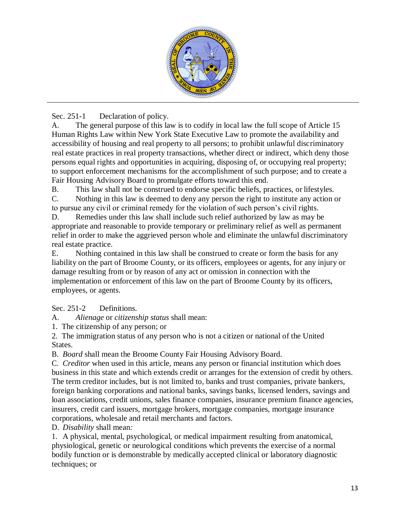

Sec. 251-1 Declaration of policy.

A. The general purpose of this law is to codify in local law the full scope of Article 15 Human Rights Law within New York State Executive Law to promote the availability and accessibility of housing and real property to all persons; to prohibit unlawful discriminatory real estate practices in real property transactions, whether direct or indirect, which deny those persons equal rights and opportunities in acquiring, disposing of, or occupying real property; to support enforcement mechanisms for the accomplishment of such purpose; and to create a Fair Housing Advisory Board to promulgate efforts toward this end.

B. This law shall not be construed to endorse specific beliefs, practices, or lifestyles.

C. Nothing in this law is deemed to deny any person the right to institute any action or to pursue any civil or criminal remedy for the violation of such person's civil rights.

D. Remedies under this law shall include such relief authorized by law as may be appropriate and reasonable to provide temporary or preliminary relief as well as permanent relief in order to make the aggrieved person whole and eliminate the unlawful discriminatory real estate practice.

E. Nothing contained in this law shall be construed to create or form the basis for any liability on the part of Broome County, or its officers, employees or agents, for any injury or damage resulting from or by reason of any act or omission in connection with the implementation or enforcement of this law on the part of Broome County by its officers, employees, or agents.

Sec. 251-2 Definitions.

A. *Alienage* or *citizenship status* shall mean:

1. The citizenship of any person; or

2. The immigration status of any person who is not a citizen or national of the United States.

B. *Board* shall mean the Broome County Fair Housing Advisory Board.

C. *Creditor* when used in this article, means any person or financial institution which does business in this state and which extends credit or arranges for the extension of credit by others. The term creditor includes, but is not limited to, banks and trust companies, private bankers, foreign banking corporations and national banks, savings banks, licensed lenders, savings and loan associations, credit unions, sales finance companies, insurance premium finance agencies, insurers, credit card issuers, mortgage brokers, mortgage companies, mortgage insurance corporations, wholesale and retail merchants and factors.

D. *Disability* shall mean*:*

1. A physical, mental, psychological, or medical impairment resulting from anatomical, physiological, genetic or neurological conditions which prevents the exercise of a normal bodily function or is demonstrable by medically accepted clinical or laboratory diagnostic techniques; or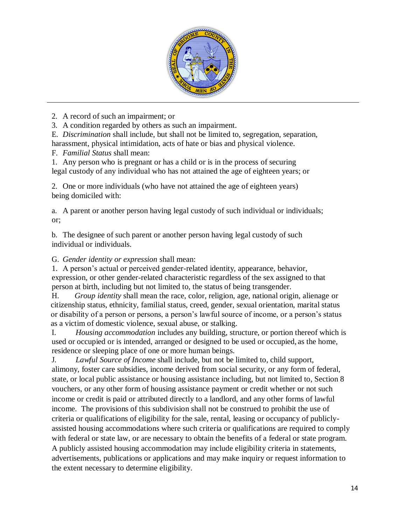

2. A record of such an impairment; or

3. A condition regarded by others as such an impairment.

E. *Discrimination* shall include, but shall not be limited to, segregation, separation, harassment, physical intimidation, acts of hate or bias and physical violence.

F. *Familial Status* shall mean:

1. Any person who is pregnant or has a child or is in the process of securing legal custody of any individual who has not attained the age of eighteen years; or

2. One or more individuals (who have not attained the age of eighteen years) being domiciled with:

a. A parent or another person having legal custody of such individual or individuals; or;

b. The designee of such parent or another person having legal custody of such individual or individuals.

G. *Gender identity or expression* shall mean:

1. A person's actual or perceived gender-related identity, appearance, behavior, expression, or other gender-related characteristic regardless of the sex assigned to that person at birth, including but not limited to, the status of being transgender.

H. *Group identity* shall mean the race, color, religion, age, national origin, alienage or citizenship status, ethnicity, familial status, creed, gender, sexual orientation, marital status or disability of a person or persons, a person's lawful source of income, or a person's status as a victim of domestic violence, sexual abuse, or stalking.

I. *Housing accommodation* includes any building, structure, or portion thereof which is used or occupied or is intended, arranged or designed to be used or occupied, as the home, residence or sleeping place of one or more human beings.

J. *Lawful Source of Income* shall include, but not be limited to, child support, alimony, foster care subsidies, income derived from social security, or any form of federal, state, or local public assistance or housing assistance including, but not limited to, Section 8 vouchers, or any other form of housing assistance payment or credit whether or not such income or credit is paid or attributed directly to a landlord, and any other forms of lawful income. The provisions of this subdivision shall not be construed to prohibit the use of criteria or qualifications of eligibility for the sale, rental, leasing or occupancy of publiclyassisted housing accommodations where such criteria or qualifications are required to comply with federal or state law, or are necessary to obtain the benefits of a federal or state program. A publicly assisted housing accommodation may include eligibility criteria in statements, advertisements, publications or applications and may make inquiry or request information to the extent necessary to determine eligibility.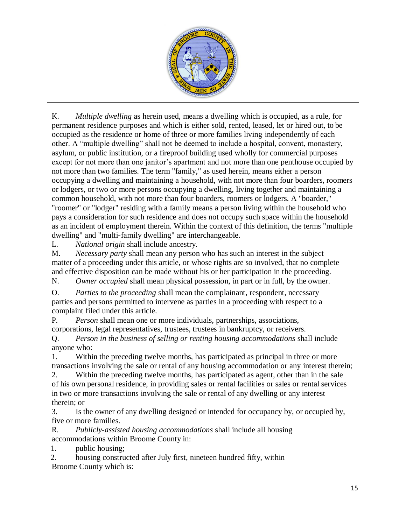

K. *Multiple dwelling* as herein used, means a dwelling which is occupied, as a rule, for permanent residence purposes and which is either sold, rented, leased, let or hired out, to be occupied as the residence or home of three or more families living independently of each other. A "multiple dwelling" shall not be deemed to include a hospital, convent, monastery, asylum, or public institution, or a fireproof building used wholly for commercial purposes except for not more than one janitor's apartment and not more than one penthouse occupied by not more than two families. The term "family," as used herein, means either a person occupying a dwelling and maintaining a household, with not more than four boarders, roomers or lodgers, or two or more persons occupying a dwelling, living together and maintaining a common household, with not more than four boarders, roomers or lodgers. A "boarder," "roomer" or "lodger" residing with a family means a person living within the household who pays a consideration for such residence and does not occupy such space within the household as an incident of employment therein. Within the context of this definition, the terms "multiple dwelling" and "multi-family dwelling" are interchangeable.

L. *National origin* shall include ancestry.

M. *Necessary party* shall mean any person who has such an interest in the subject matter of a proceeding under this article, or whose rights are so involved, that no complete and effective disposition can be made without his or her participation in the proceeding. N. *Owner occupied* shall mean physical possession, in part or in full, by the owner.

O. *Parties to the proceeding* shall mean the complainant, respondent, necessary parties and persons permitted to intervene as parties in a proceeding with respect to a complaint filed under this article.

P. *Person* shall mean one or more individuals, partnerships, associations, corporations, legal representatives, trustees, trustees in bankruptcy, or receivers.

Q. *Person in the business of selling or renting housing accommodations* shall include anyone who:

1. Within the preceding twelve months, has participated as principal in three or more transactions involving the sale or rental of any housing accommodation or any interest therein;

2. Within the preceding twelve months, has participated as agent, other than in the sale of his own personal residence, in providing sales or rental facilities or sales or rental services in two or more transactions involving the sale or rental of any dwelling or any interest therein; or

3. Is the owner of any dwelling designed or intended for occupancy by, or occupied by, five or more families.

R. *Publicly-assisted housing accommodations* shall include all housing accommodations within Broome County in:

1. public housing;

2. housing constructed after July first, nineteen hundred fifty, within Broome County which is: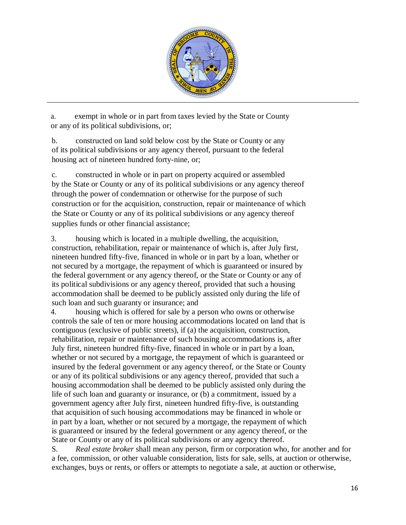

a. exempt in whole or in part from taxes levied by the State or County or any of its political subdivisions, or;

b. constructed on land sold below cost by the State or County or any of its political subdivisions or any agency thereof, pursuant to the federal housing act of nineteen hundred forty-nine, or;

c. constructed in whole or in part on property acquired or assembled by the State or County or any of its political subdivisions or any agency thereof through the power of condemnation or otherwise for the purpose of such construction or for the acquisition, construction, repair or maintenance of which the State or County or any of its political subdivisions or any agency thereof supplies funds or other financial assistance;

3. housing which is located in a multiple dwelling, the acquisition, construction, rehabilitation, repair or maintenance of which is, after July first, nineteen hundred fifty-five, financed in whole or in part by a loan, whether or not secured by a mortgage, the repayment of which is guaranteed or insured by the federal government or any agency thereof, or the State or County or any of its political subdivisions or any agency thereof, provided that such a housing accommodation shall be deemed to be publicly assisted only during the life of such loan and such guaranty or insurance; and

4. housing which is offered for sale by a person who owns or otherwise controls the sale of ten or more housing accommodations located on land that is contiguous (exclusive of public streets), if (a) the acquisition, construction, rehabilitation, repair or maintenance of such housing accommodations is, after July first, nineteen hundred fifty-five, financed in whole or in part by a loan, whether or not secured by a mortgage, the repayment of which is guaranteed or insured by the federal government or any agency thereof, or the State or County or any of its political subdivisions or any agency thereof, provided that such a housing accommodation shall be deemed to be publicly assisted only during the life of such loan and guaranty or insurance, or (b) a commitment, issued by a government agency after July first, nineteen hundred fifty-five, is outstanding that acquisition of such housing accommodations may be financed in whole or in part by a loan, whether or not secured by a mortgage, the repayment of which is guaranteed or insured by the federal government or any agency thereof, or the State or County or any of its political subdivisions or any agency thereof.

S. *Real estate broker* shall mean any person, firm or corporation who, for another and for a fee, commission, or other valuable consideration, lists for sale, sells, at auction or otherwise, exchanges, buys or rents, or offers or attempts to negotiate a sale, at auction or otherwise,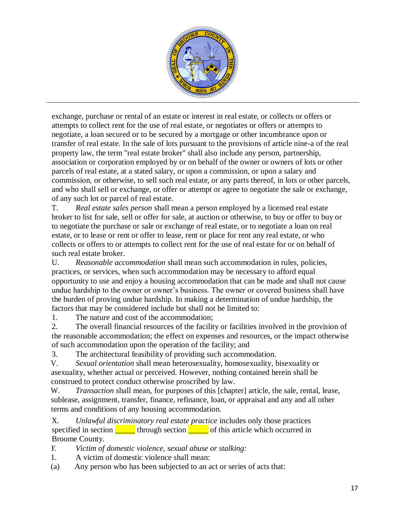

exchange, purchase or rental of an estate or interest in real estate, or collects or offers or attempts to collect rent for the use of real estate, or negotiates or offers or attempts to negotiate, a loan secured or to be secured by a mortgage or other incumbrance upon or transfer of real estate. In the sale of lots pursuant to the provisions of article nine-a of the real property law, the term "real estate broker" shall also include any person, partnership, association or corporation employed by or on behalf of the owner or owners of lots or other parcels of real estate, at a stated salary, or upon a commission, or upon a salary and commission, or otherwise, to sell such real estate, or any parts thereof, in lots or other parcels, and who shall sell or exchange, or offer or attempt or agree to negotiate the sale or exchange, of any such lot or parcel of real estate.

T. *Real estate sales person* shall mean a person employed by a licensed real estate broker to list for sale, sell or offer for sale, at auction or otherwise, to buy or offer to buy or to negotiate the purchase or sale or exchange of real estate, or to negotiate a loan on real estate, or to lease or rent or offer to lease, rent or place for rent any real estate, or who collects or offers to or attempts to collect rent for the use of real estate for or on behalf of such real estate broker.

U. *Reasonable accommodation* shall mean such accommodation in rules, policies, practices, or services, when such accommodation may be necessary to afford equal opportunity to use and enjoy a housing accommodation that can be made and shall not cause undue hardship to the owner or owner's business. The owner or covered business shall have the burden of proving undue hardship. In making a determination of undue hardship, the factors that may be considered include but shall not be limited to:

1. The nature and cost of the accommodation;

2. The overall financial resources of the facility or facilities involved in the provision of the reasonable accommodation; the effect on expenses and resources, or the impact otherwise of such accommodation upon the operation of the facility; and

3. The architectural feasibility of providing such accommodation.

V. *Sexual orientation* shall mean heterosexuality, homosexuality, bisexuality or asexuality, whether actual or perceived. However, nothing contained herein shall be construed to protect conduct otherwise proscribed by law.

W. *Transaction* shall mean, for purposes of this [chapter] article, the sale, rental, lease, sublease, assignment, transfer, finance, refinance, loan, or appraisal and any and all other terms and conditions of any housing accommodation.

X. *Unlawful discriminatory real estate practice* includes only those practices specified in section  $\frac{\ }{\ }$  through section  $\frac{\ }{\ }$  of this article which occurred in Broome County.

*Y. Victim of domestic violence, sexual abuse or stalking:*

- 1. A victim of domestic violence shall mean:
- (a) Any person who has been subjected to an act or series of acts that: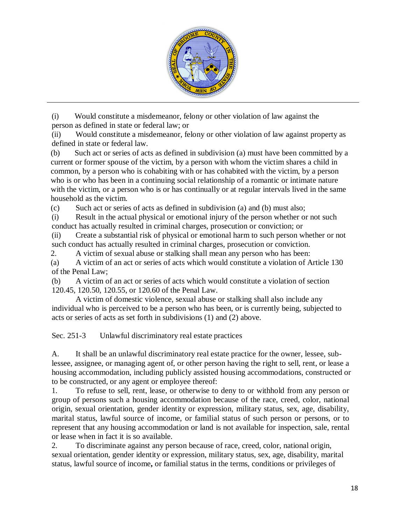

(i) Would constitute a misdemeanor, felony or other violation of law against the person as defined in state or federal law; or

(ii) Would constitute a misdemeanor, felony or other violation of law against property as defined in state or federal law.

(b) Such act or series of acts as defined in subdivision (a) must have been committed by a current or former spouse of the victim, by a person with whom the victim shares a child in common, by a person who is cohabiting with or has cohabited with the victim, by a person who is or who has been in a continuing social relationship of a romantic or intimate nature with the victim, or a person who is or has continually or at regular intervals lived in the same household as the victim.

(c) Such act or series of acts as defined in subdivision (a) and (b) must also;

(i) Result in the actual physical or emotional injury of the person whether or not such conduct has actually resulted in criminal charges, prosecution or conviction; or

(ii) Create a substantial risk of physical or emotional harm to such person whether or not such conduct has actually resulted in criminal charges, prosecution or conviction.

2. A victim of sexual abuse or stalking shall mean any person who has been:

(a) A victim of an act or series of acts which would constitute a violation of Article 130 of the Penal Law;

(b) A victim of an act or series of acts which would constitute a violation of section 120.45, 120.50, 120.55, or 120.60 of the Penal Law.

A victim of domestic violence, sexual abuse or stalking shall also include any individual who is perceived to be a person who has been, or is currently being, subjected to acts or series of acts as set forth in subdivisions (1) and (2) above.

Sec. 251-3 Unlawful discriminatory real estate practices

A. It shall be an unlawful discriminatory real estate practice for the owner, lessee, sublessee, assignee, or managing agent of, or other person having the right to sell, rent, or lease a housing accommodation, including publicly assisted housing accommodations, constructed or to be constructed, or any agent or employee thereof:

1. To refuse to sell, rent, lease, or otherwise to deny to or withhold from any person or group of persons such a housing accommodation because of the race, creed, color, national origin, sexual orientation, gender identity or expression, military status, sex, age, disability, marital status, lawful source of income, or familial status of such person or persons, or to represent that any housing accommodation or land is not available for inspection, sale, rental or lease when in fact it is so available.

2. To discriminate against any person because of race, creed, color, national origin, sexual orientation, gender identity or expression, military status, sex, age, disability, marital status, lawful source of income**,** or familial status in the terms, conditions or privileges of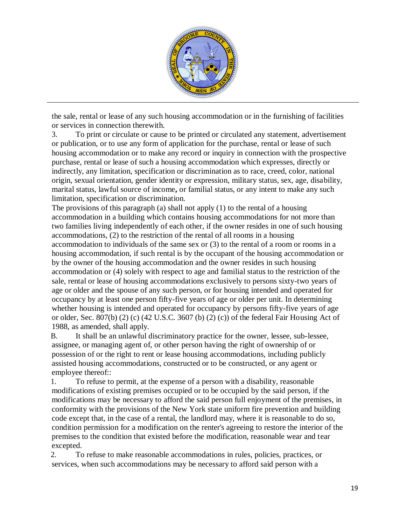

the sale, rental or lease of any such housing accommodation or in the furnishing of facilities or services in connection therewith.

3. To print or circulate or cause to be printed or circulated any statement, advertisement or publication, or to use any form of application for the purchase, rental or lease of such housing accommodation or to make any record or inquiry in connection with the prospective purchase, rental or lease of such a housing accommodation which expresses, directly or indirectly, any limitation, specification or discrimination as to race, creed, color, national origin, sexual orientation, gender identity or expression, military status, sex, age, disability, marital status, lawful source of income**,** or familial status, or any intent to make any such limitation, specification or discrimination.

The provisions of this paragraph (a) shall not apply (1) to the rental of a housing accommodation in a building which contains housing accommodations for not more than two families living independently of each other, if the owner resides in one of such housing accommodations, (2) to the restriction of the rental of all rooms in a housing accommodation to individuals of the same sex or (3) to the rental of a room or rooms in a housing accommodation, if such rental is by the occupant of the housing accommodation or by the owner of the housing accommodation and the owner resides in such housing accommodation or (4) solely with respect to age and familial status to the restriction of the sale, rental or lease of housing accommodations exclusively to persons sixty-two years of age or older and the spouse of any such person, or for housing intended and operated for occupancy by at least one person fifty-five years of age or older per unit. In determining whether housing is intended and operated for occupancy by persons fifty-five years of age or older, Sec. 807(b) (2) (c) (42 U.S.C. 3607 (b) (2) (c)) of the federal Fair Housing Act of 1988, as amended, shall apply.

B. It shall be an unlawful discriminatory practice for the owner, lessee, sub-lessee, assignee, or managing agent of, or other person having the right of ownership of or possession of or the right to rent or lease housing accommodations, including publicly assisted housing accommodations, constructed or to be constructed, or any agent or employee thereof::

1. To refuse to permit, at the expense of a person with a disability, reasonable modifications of existing premises occupied or to be occupied by the said person, if the modifications may be necessary to afford the said person full enjoyment of the premises, in conformity with the provisions of the New York state uniform fire prevention and building code except that, in the case of a rental, the landlord may, where it is reasonable to do so, condition permission for a modification on the renter's agreeing to restore the interior of the premises to the condition that existed before the modification, reasonable wear and tear excepted.

2. To refuse to make reasonable accommodations in rules, policies, practices, or services, when such accommodations may be necessary to afford said person with a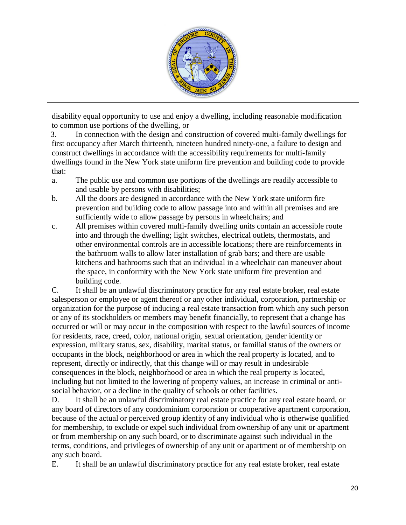

disability equal opportunity to use and enjoy a dwelling, including reasonable modification to common use portions of the dwelling, or

3. In connection with the design and construction of covered multi-family dwellings for first occupancy after March thirteenth, nineteen hundred ninety-one, a failure to design and construct dwellings in accordance with the accessibility requirements for multi-family dwellings found in the New York state uniform fire prevention and building code to provide that:

- a. The public use and common use portions of the dwellings are readily accessible to and usable by persons with disabilities;
- b. All the doors are designed in accordance with the New York state uniform fire prevention and building code to allow passage into and within all premises and are sufficiently wide to allow passage by persons in wheelchairs; and
- c. All premises within covered multi-family dwelling units contain an accessible route into and through the dwelling; light switches, electrical outlets, thermostats, and other environmental controls are in accessible locations; there are reinforcements in the bathroom walls to allow later installation of grab bars; and there are usable kitchens and bathrooms such that an individual in a wheelchair can maneuver about the space, in conformity with the New York state uniform fire prevention and building code.

C. It shall be an unlawful discriminatory practice for any real estate broker, real estate salesperson or employee or agent thereof or any other individual, corporation, partnership or organization for the purpose of inducing a real estate transaction from which any such person or any of its stockholders or members may benefit financially, to represent that a change has occurred or will or may occur in the composition with respect to the lawful sources of income for residents, race, creed, color, national origin, sexual orientation, gender identity or expression, military status, sex, disability, marital status, or familial status of the owners or occupants in the block, neighborhood or area in which the real property is located, and to represent, directly or indirectly, that this change will or may result in undesirable consequences in the block, neighborhood or area in which the real property is located, including but not limited to the lowering of property values, an increase in criminal or antisocial behavior, or a decline in the quality of schools or other facilities.

D. It shall be an unlawful discriminatory real estate practice for any real estate board, or any board of directors of any condominium corporation or cooperative apartment corporation, because of the actual or perceived group identity of any individual who is otherwise qualified for membership, to exclude or expel such individual from ownership of any unit or apartment or from membership on any such board, or to discriminate against such individual in the terms, conditions, and privileges of ownership of any unit or apartment or of membership on any such board.

E. It shall be an unlawful discriminatory practice for any real estate broker, real estate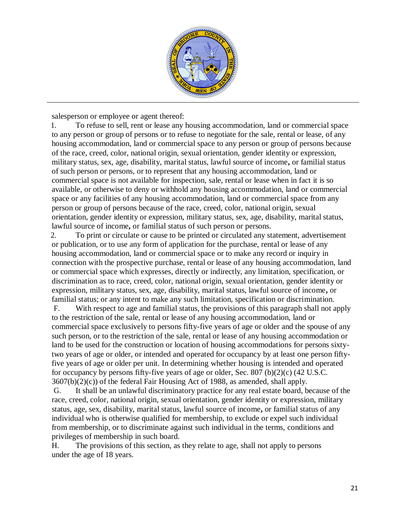

salesperson or employee or agent thereof:

1. To refuse to sell, rent or lease any housing accommodation, land or commercial space to any person or group of persons or to refuse to negotiate for the sale, rental or lease, of any housing accommodation, land or commercial space to any person or group of persons because of the race, creed, color, national origin, sexual orientation, gender identity or expression, military status, sex, age, disability, marital status, lawful source of income**,** or familial status of such person or persons, or to represent that any housing accommodation, land or commercial space is not available for inspection, sale, rental or lease when in fact it is so available, or otherwise to deny or withhold any housing accommodation, land or commercial space or any facilities of any housing accommodation, land or commercial space from any person or group of persons because of the race, creed, color, national origin, sexual orientation, gender identity or expression, military status, sex, age, disability, marital status, lawful source of income**,** or familial status of such person or persons.

2. To print or circulate or cause to be printed or circulated any statement, advertisement or publication, or to use any form of application for the purchase, rental or lease of any housing accommodation, land or commercial space or to make any record or inquiry in connection with the prospective purchase, rental or lease of any housing accommodation, land or commercial space which expresses, directly or indirectly, any limitation, specification, or discrimination as to race, creed, color, national origin, sexual orientation, gender identity or expression, military status, sex, age, disability, marital status, lawful source of income**,** or familial status; or any intent to make any such limitation, specification or discrimination.

F. With respect to age and familial status, the provisions of this paragraph shall not apply to the restriction of the sale, rental or lease of any housing accommodation, land or commercial space exclusively to persons fifty-five years of age or older and the spouse of any such person, or to the restriction of the sale, rental or lease of any housing accommodation or land to be used for the construction or location of housing accommodations for persons sixtytwo years of age or older, or intended and operated for occupancy by at least one person fiftyfive years of age or older per unit. In determining whether housing is intended and operated for occupancy by persons fifty-five years of age or older, Sec. 807 (b)(2)(c) (42 U.S.C. 3607(b)(2)(c)) of the federal Fair Housing Act of 1988, as amended, shall apply.

G. It shall be an unlawful discriminatory practice for any real estate board, because of the race, creed, color, national origin, sexual orientation, gender identity or expression, military status, age, sex, disability, marital status, lawful source of income**,** or familial status of any individual who is otherwise qualified for membership, to exclude or expel such individual from membership, or to discriminate against such individual in the terms, conditions and privileges of membership in such board.

H. The provisions of this section, as they relate to age, shall not apply to persons under the age of 18 years.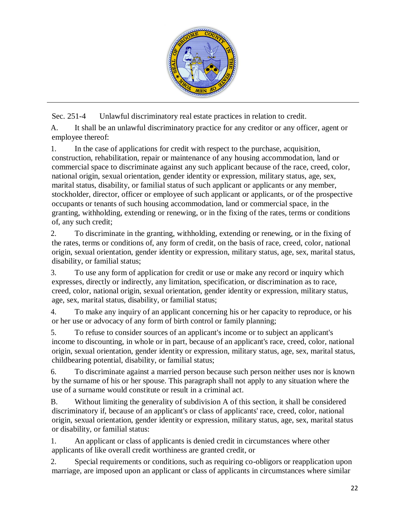

Sec. 251-4 Unlawful discriminatory real estate practices in relation to credit.

A. It shall be an unlawful discriminatory practice for any creditor or any officer, agent or employee thereof:

1. In the case of applications for credit with respect to the purchase, acquisition, construction, rehabilitation, repair or maintenance of any housing accommodation, land or commercial space to discriminate against any such applicant because of the race, creed, color, national origin, sexual orientation, gender identity or expression, military status, age, sex, marital status, disability, or familial status of such applicant or applicants or any member, stockholder, director, officer or employee of such applicant or applicants, or of the prospective occupants or tenants of such housing accommodation, land or commercial space, in the granting, withholding, extending or renewing, or in the fixing of the rates, terms or conditions of, any such credit;

2. To discriminate in the granting, withholding, extending or renewing, or in the fixing of the rates, terms or conditions of, any form of credit, on the basis of race, creed, color, national origin, sexual orientation, gender identity or expression, military status, age, sex, marital status, disability, or familial status;

3. To use any form of application for credit or use or make any record or inquiry which expresses, directly or indirectly, any limitation, specification, or discrimination as to race, creed, color, national origin, sexual orientation, gender identity or expression, military status, age, sex, marital status, disability, or familial status;

4. To make any inquiry of an applicant concerning his or her capacity to reproduce, or his or her use or advocacy of any form of birth control or family planning;

5. To refuse to consider sources of an applicant's income or to subject an applicant's income to discounting, in whole or in part, because of an applicant's race, creed, color, national origin, sexual orientation, gender identity or expression, military status, age, sex, marital status, childbearing potential, disability, or familial status;

6. To discriminate against a married person because such person neither uses nor is known by the surname of his or her spouse. This paragraph shall not apply to any situation where the use of a surname would constitute or result in a criminal act.

B. Without limiting the generality of subdivision A of this section, it shall be considered discriminatory if, because of an applicant's or class of applicants' race, creed, color, national origin, sexual orientation, gender identity or expression, military status, age, sex, marital status or disability, or familial status:

1. An applicant or class of applicants is denied credit in circumstances where other applicants of like overall credit worthiness are granted credit, or

2. Special requirements or conditions, such as requiring co-obligors or reapplication upon marriage, are imposed upon an applicant or class of applicants in circumstances where similar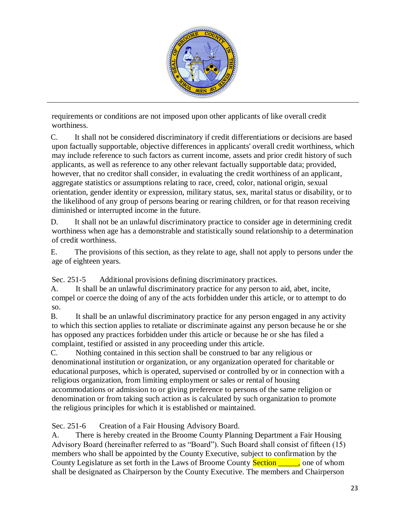

requirements or conditions are not imposed upon other applicants of like overall credit worthiness.

C. It shall not be considered discriminatory if credit differentiations or decisions are based upon factually supportable, objective differences in applicants' overall credit worthiness, which may include reference to such factors as current income, assets and prior credit history of such applicants, as well as reference to any other relevant factually supportable data; provided, however, that no creditor shall consider, in evaluating the credit worthiness of an applicant, aggregate statistics or assumptions relating to race, creed, color, national origin, sexual orientation, gender identity or expression, military status, sex, marital status or disability, or to the likelihood of any group of persons bearing or rearing children, or for that reason receiving diminished or interrupted income in the future.

D. It shall not be an unlawful discriminatory practice to consider age in determining credit worthiness when age has a demonstrable and statistically sound relationship to a determination of credit worthiness.

E. The provisions of this section, as they relate to age, shall not apply to persons under the age of eighteen years.

Sec. 251-5 Additional provisions defining discriminatory practices.

A. It shall be an unlawful discriminatory practice for any person to aid, abet, incite, compel or coerce the doing of any of the acts forbidden under this article, or to attempt to do so.

B. It shall be an unlawful discriminatory practice for any person engaged in any activity to which this section applies to retaliate or discriminate against any person because he or she has opposed any practices forbidden under this article or because he or she has filed a complaint, testified or assisted in any proceeding under this article.

C. Nothing contained in this section shall be construed to bar any religious or denominational institution or organization, or any organization operated for charitable or educational purposes, which is operated, supervised or controlled by or in connection with a religious organization, from limiting employment or sales or rental of housing accommodations or admission to or giving preference to persons of the same religion or denomination or from taking such action as is calculated by such organization to promote the religious principles for which it is established or maintained.

Sec. 251-6 Creation of a Fair Housing Advisory Board.

A. There is hereby created in the Broome County Planning Department a Fair Housing Advisory Board (hereinafter referred to as "Board"). Such Board shall consist of fifteen (15) members who shall be appointed by the County Executive, subject to confirmation by the County Legislature as set forth in the Laws of Broome County Section \_\_\_\_\_, one of whom shall be designated as Chairperson by the County Executive. The members and Chairperson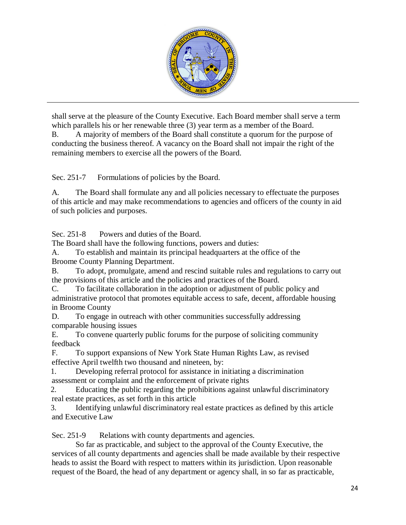

shall serve at the pleasure of the County Executive. Each Board member shall serve a term which parallels his or her renewable three (3) year term as a member of the Board.

B. A majority of members of the Board shall constitute a quorum for the purpose of conducting the business thereof. A vacancy on the Board shall not impair the right of the remaining members to exercise all the powers of the Board.

Sec. 251-7 Formulations of policies by the Board.

A. The Board shall formulate any and all policies necessary to effectuate the purposes of this article and may make recommendations to agencies and officers of the county in aid of such policies and purposes.

Sec. 251-8 Powers and duties of the Board.

The Board shall have the following functions, powers and duties:

A. To establish and maintain its principal headquarters at the office of the

Broome County Planning Department.

B. To adopt, promulgate, amend and rescind suitable rules and regulations to carry out the provisions of this article and the policies and practices of the Board.

C. To facilitate collaboration in the adoption or adjustment of public policy and administrative protocol that promotes equitable access to safe, decent, affordable housing in Broome County

D. To engage in outreach with other communities successfully addressing comparable housing issues

E. To convene quarterly public forums for the purpose of soliciting community feedback

F. To support expansions of New York State Human Rights Law, as revised effective April twelfth two thousand and nineteen, by:

1. Developing referral protocol for assistance in initiating a discrimination assessment or complaint and the enforcement of private rights

2. Educating the public regarding the prohibitions against unlawful discriminatory real estate practices, as set forth in this article

3. Identifying unlawful discriminatory real estate practices as defined by this article and Executive Law

Sec. 251-9 Relations with county departments and agencies.

So far as practicable, and subject to the approval of the County Executive, the services of all county departments and agencies shall be made available by their respective heads to assist the Board with respect to matters within its jurisdiction. Upon reasonable request of the Board, the head of any department or agency shall, in so far as practicable,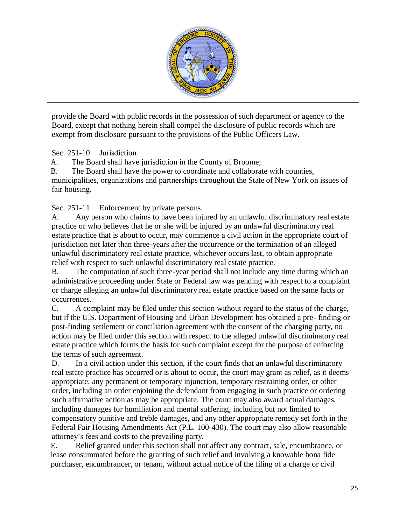

provide the Board with public records in the possession of such department or agency to the Board, except that nothing herein shall compel the disclosure of public records which are exempt from disclosure pursuant to the provisions of the Public Officers Law.

Sec. 251-10 Jurisdiction

A. The Board shall have jurisdiction in the County of Broome;

B. The Board shall have the power to coordinate and collaborate with counties, municipalities, organizations and partnerships throughout the State of New York on issues of fair housing.

Sec. 251-11 Enforcement by private persons.

A. Any person who claims to have been injured by an unlawful discriminatory real estate practice or who believes that he or she will be injured by an unlawful discriminatory real estate practice that is about to occur, may commence a civil action in the appropriate court of jurisdiction not later than three-years after the occurrence or the termination of an alleged unlawful discriminatory real estate practice, whichever occurs last, to obtain appropriate relief with respect to such unlawful discriminatory real estate practice.

B. The computation of such three-year period shall not include any time during which an administrative proceeding under State or Federal law was pending with respect to a complaint or charge alleging an unlawful discriminatory real estate practice based on the same facts or occurrences.

C. A complaint may be filed under this section without regard to the status of the charge, but if the U.S. Department of Housing and Urban Development has obtained a pre- finding or post-finding settlement or conciliation agreement with the consent of the charging party, no action may be filed under this section with respect to the alleged unlawful discriminatory real estate practice which forms the basis for such complaint except for the purpose of enforcing the terms of such agreement.

D. In a civil action under this section, if the court finds that an unlawful discriminatory real estate practice has occurred or is about to occur, the court may grant as relief, as it deems appropriate, any permanent or temporary injunction, temporary restraining order, or other order, including an order enjoining the defendant from engaging in such practice or ordering such affirmative action as may be appropriate. The court may also award actual damages, including damages for humiliation and mental suffering, including but not limited to compensatory punitive and treble damages, and any other appropriate remedy set forth in the Federal Fair Housing Amendments Act (P.L. 100-430). The court may also allow reasonable attorney's fees and costs to the prevailing party.

E. Relief granted under this section shall not affect any contract, sale, encumbrance, or lease consummated before the granting of such relief and involving a knowable bona fide purchaser, encumbrancer, or tenant, without actual notice of the filing of a charge or civil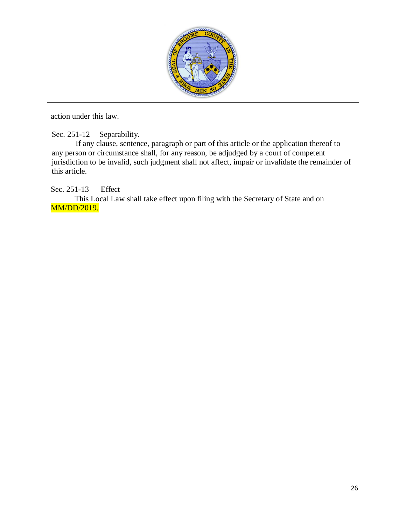

action under this law.

Sec. 251-12 Separability.

If any clause, sentence, paragraph or part of this article or the application thereof to any person or circumstance shall, for any reason, be adjudged by a court of competent jurisdiction to be invalid, such judgment shall not affect, impair or invalidate the remainder of this article.

Sec. 251-13 Effect

This Local Law shall take effect upon filing with the Secretary of State and on MM/DD/2019.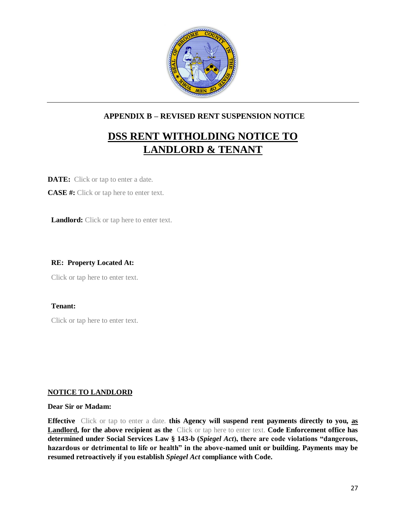

#### **APPENDIX B – REVISED RENT SUSPENSION NOTICE**

# **DSS RENT WITHOLDING NOTICE TO LANDLORD & TENANT**

**DATE:** Click or tap to enter a date.

**CASE #:** Click or tap here to enter text.

Landlord: Click or tap here to enter text.

#### **RE: Property Located At:**

Click or tap here to enter text.

#### **Tenant:**

Click or tap here to enter text.

#### **NOTICE TO LANDLORD**

**Dear Sir or Madam:** 

**Effective** Click or tap to enter a date. **this Agency will suspend rent payments directly to you, as Landlord, for the above recipient as the** Click or tap here to enter text. **Code Enforcement office has determined under Social Services Law § 143-b (***Spiegel Act***), there are code violations "dangerous, hazardous or detrimental to life or health" in the above-named unit or building. Payments may be resumed retroactively if you establish** *Spiegel Act* **compliance with Code.**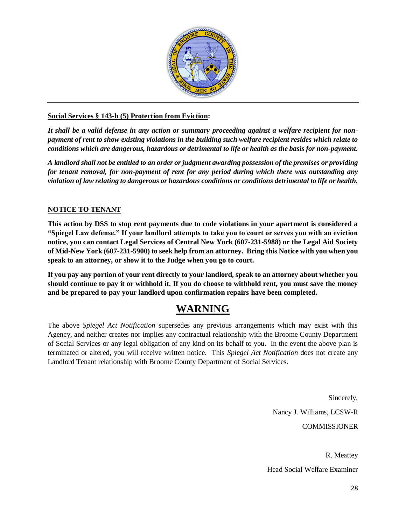

#### **Social Services § 143-b (5) Protection from Eviction:**

*It shall be a valid defense in any action or summary proceeding against a welfare recipient for nonpayment of rent to show existing violations in the building such welfare recipient resides which relate to conditions which are dangerous, hazardous or detrimental to life or health as the basis for non-payment.*

*A landlord shall not be entitled to an order or judgment awarding possession of the premises or providing for tenant removal, for non-payment of rent for any period during which there was outstanding any violation of law relating to dangerous or hazardous conditions or conditions detrimental to life or health.*

#### **NOTICE TO TENANT**

**This action by DSS to stop rent payments due to code violations in your apartment is considered a "Spiegel Law defense." If your landlord attempts to take you to court or serves you with an eviction notice, you can contact Legal Services of Central New York (607-231-5988) or the Legal Aid Society of Mid-New York (607-231-5900) to seek help from an attorney. Bring this Notice with you when you speak to an attorney, or show it to the Judge when you go to court.** 

**If you pay any portion of your rent directly to your landlord, speak to an attorney about whether you should continue to pay it or withhold it. If you do choose to withhold rent, you must save the money and be prepared to pay your landlord upon confirmation repairs have been completed.**

## **WARNING**

The above *Spiegel Act Notification* supersedes any previous arrangements which may exist with this Agency, and neither creates nor implies any contractual relationship with the Broome County Department of Social Services or any legal obligation of any kind on its behalf to you. In the event the above plan is terminated or altered, you will receive written notice. This *Spiegel Act Notification* does not create any Landlord Tenant relationship with Broome County Department of Social Services.

> Sincerely, Nancy J. Williams, LCSW-R COMMISSIONER

R. Meattey Head Social Welfare Examiner